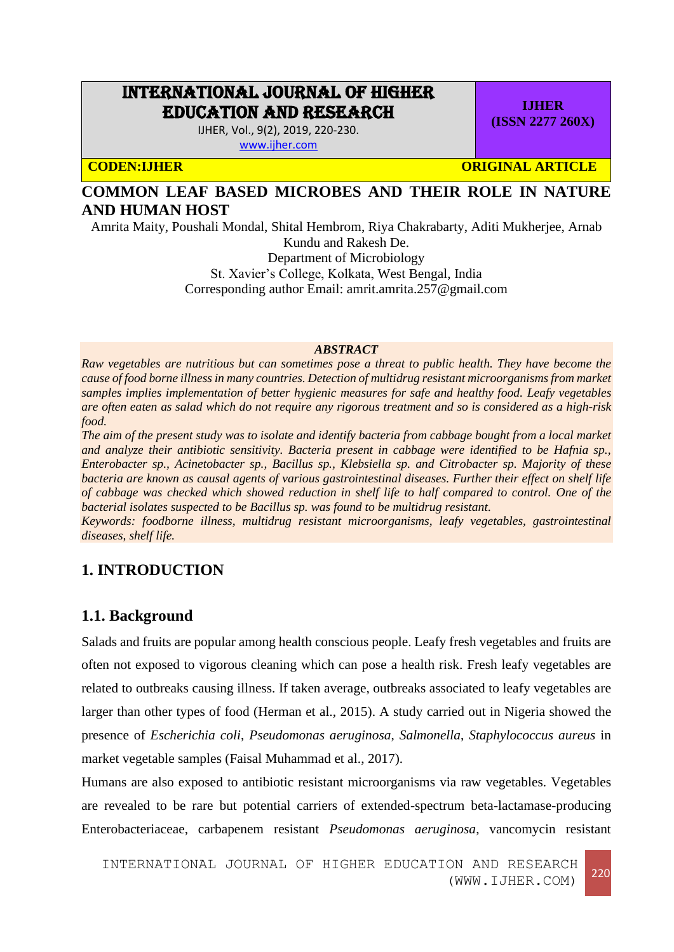# INTERNATIONAL JOURNAL OF HIGHER EDUCATION AND RESEARCH

IJHER, Vol., 9(2), 2019, 220-230.

[www.ijher.com](http://www.ijher.com/)

**CODEN:IJHER ORIGINAL ARTICLE** 

**IJHER (ISSN 2277 260X)**

# **COMMON LEAF BASED MICROBES AND THEIR ROLE IN NATURE AND HUMAN HOST**

Amrita Maity, Poushali Mondal, Shital Hembrom, Riya Chakrabarty, Aditi Mukherjee, Arnab Kundu and Rakesh De.

Department of Microbiology

St. Xavier's College, Kolkata, West Bengal, India

Corresponding author Email: amrit.amrita.257@gmail.com

#### *ABSTRACT*

*Raw vegetables are nutritious but can sometimes pose a threat to public health. They have become the cause of food borne illnessin many countries. Detection of multidrug resistant microorganisms from market samples implies implementation of better hygienic measures for safe and healthy food. Leafy vegetables are often eaten as salad which do not require any rigorous treatment and so is considered as a high-risk food.* 

*The aim of the present study was to isolate and identify bacteria from cabbage bought from a local market and analyze their antibiotic sensitivity. Bacteria present in cabbage were identified to be Hafnia sp., Enterobacter sp., Acinetobacter sp., Bacillus sp., Klebsiella sp. and Citrobacter sp. Majority of these bacteria are known as causal agents of various gastrointestinal diseases. Further their effect on shelf life of cabbage was checked which showed reduction in shelf life to half compared to control. One of the bacterial isolates suspected to be Bacillus sp. was found to be multidrug resistant.*

*Keywords: foodborne illness, multidrug resistant microorganisms, leafy vegetables, gastrointestinal diseases, shelf life.*

# **1. INTRODUCTION**

# **1.1. Background**

Salads and fruits are popular among health conscious people. Leafy fresh vegetables and fruits are often not exposed to vigorous cleaning which can pose a health risk. Fresh leafy vegetables are related to outbreaks causing illness. If taken average, outbreaks associated to leafy vegetables are larger than other types of food (Herman et al., 2015). A study carried out in Nigeria showed the presence of *Escherichia coli*, *Pseudomonas aeruginosa*, *Salmonella*, *Staphylococcus aureus* in market vegetable samples (Faisal Muhammad et al., 2017).

Humans are also exposed to antibiotic resistant microorganisms via raw vegetables. Vegetables are revealed to be rare but potential carriers of extended-spectrum beta-lactamase-producing Enterobacteriaceae, carbapenem resistant *Pseudomonas aeruginosa*, vancomycin resistant

INTERNATIONAL JOURNAL OF HIGHER EDUCATION AND RESEARCH (WWW.IJHER.COM) <sup>220</sup>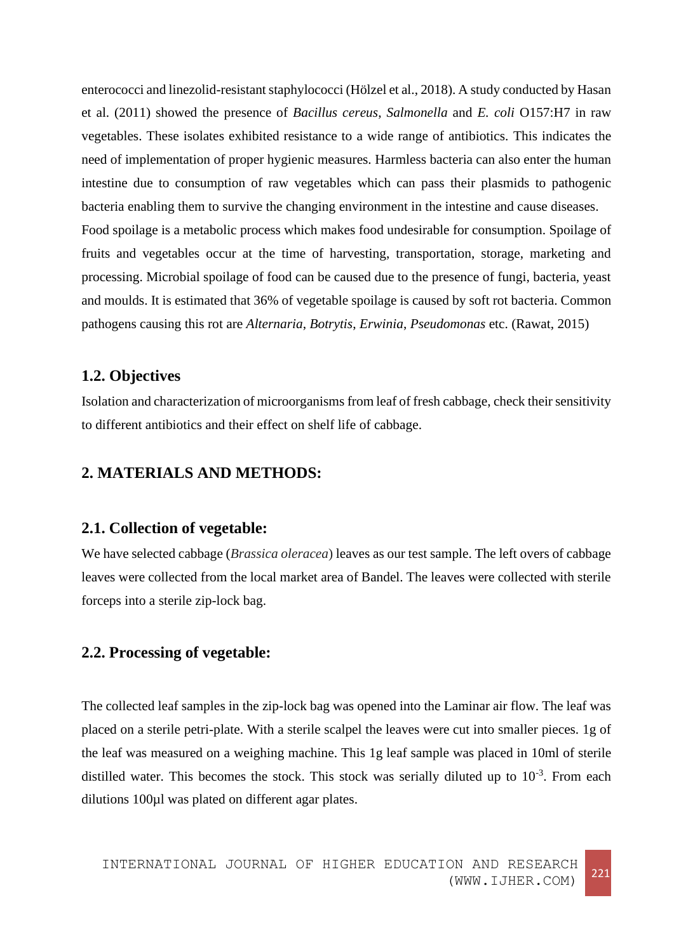enterococci and linezolid-resistant staphylococci (Hölzel et al., 2018). A study conducted by Hasan et al. (2011) showed the presence of *Bacillus cereus*, *Salmonella* and *E. coli* O157:H7 in raw vegetables. These isolates exhibited resistance to a wide range of antibiotics. This indicates the need of implementation of proper hygienic measures. Harmless bacteria can also enter the human intestine due to consumption of raw vegetables which can pass their plasmids to pathogenic bacteria enabling them to survive the changing environment in the intestine and cause diseases. Food spoilage is a metabolic process which makes food undesirable for consumption. Spoilage of fruits and vegetables occur at the time of harvesting, transportation, storage, marketing and processing. Microbial spoilage of food can be caused due to the presence of fungi, bacteria, yeast and moulds. It is estimated that 36% of vegetable spoilage is caused by soft rot bacteria. Common pathogens causing this rot are *Alternaria*, *Botrytis*, *Erwinia*, *Pseudomonas* etc. (Rawat, 2015)

### **1.2. Objectives**

Isolation and characterization of microorganisms from leaf of fresh cabbage, check their sensitivity to different antibiotics and their effect on shelf life of cabbage.

# **2. MATERIALS AND METHODS:**

#### **2.1. Collection of vegetable:**

We have selected cabbage (*Brassica oleracea*) leaves as our test sample. The left overs of cabbage leaves were collected from the local market area of Bandel. The leaves were collected with sterile forceps into a sterile zip-lock bag.

# **2.2. Processing of vegetable:**

The collected leaf samples in the zip-lock bag was opened into the Laminar air flow. The leaf was placed on a sterile petri-plate. With a sterile scalpel the leaves were cut into smaller pieces. 1g of the leaf was measured on a weighing machine. This 1g leaf sample was placed in 10ml of sterile distilled water. This becomes the stock. This stock was serially diluted up to  $10^{-3}$ . From each dilutions 100µl was plated on different agar plates.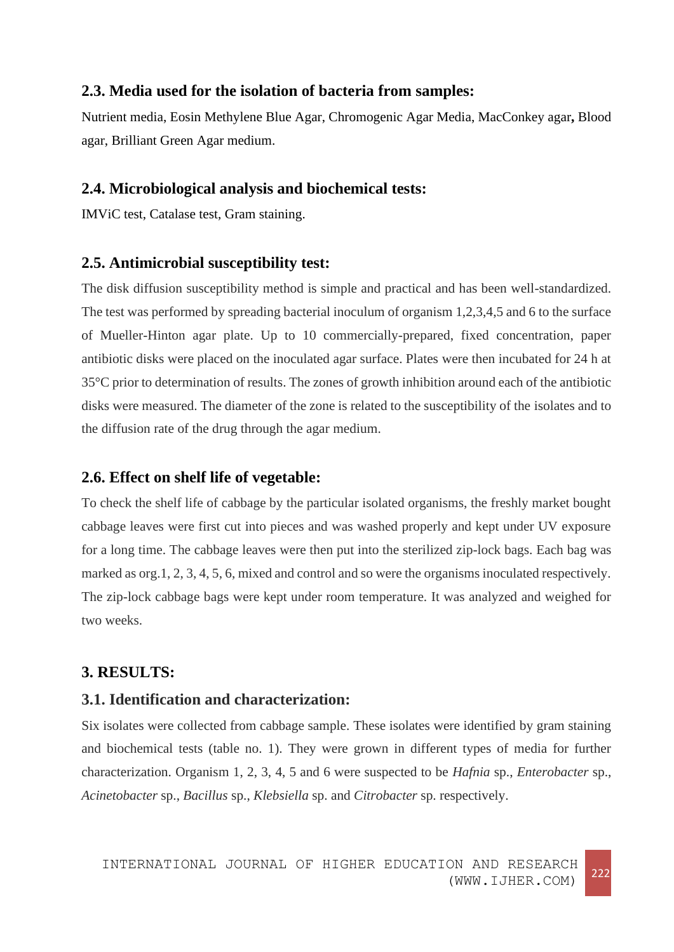### **2.3. Media used for the isolation of bacteria from samples:**

Nutrient media, Eosin Methylene Blue Agar, Chromogenic Agar Media, MacConkey agar**,** Blood agar, Brilliant Green Agar medium.

#### **2.4. Microbiological analysis and biochemical tests:**

IMViC test, Catalase test, Gram staining.

#### **2.5. Antimicrobial susceptibility test:**

The disk diffusion susceptibility method is simple and practical and has been well-standardized. The test was performed by spreading bacterial inoculum of organism 1,2,3,4,5 and 6 to the surface of Mueller-Hinton agar plate. Up to 10 commercially-prepared, fixed concentration, paper antibiotic disks were placed on the inoculated agar surface. Plates were then incubated for 24 h at 35°C prior to determination of results. The zones of growth inhibition around each of the antibiotic disks were measured. The diameter of the zone is related to the susceptibility of the isolates and to the diffusion rate of the drug through the agar medium.

# **2.6. Effect on shelf life of vegetable:**

To check the shelf life of cabbage by the particular isolated organisms, the freshly market bought cabbage leaves were first cut into pieces and was washed properly and kept under UV exposure for a long time. The cabbage leaves were then put into the sterilized zip-lock bags. Each bag was marked as org.1, 2, 3, 4, 5, 6, mixed and control and so were the organisms inoculated respectively. The zip-lock cabbage bags were kept under room temperature. It was analyzed and weighed for two weeks.

# **3. RESULTS:**

# **3.1. Identification and characterization:**

Six isolates were collected from cabbage sample. These isolates were identified by gram staining and biochemical tests (table no. 1). They were grown in different types of media for further characterization. Organism 1, 2, 3, 4, 5 and 6 were suspected to be *Hafnia* sp., *Enterobacter* sp., *Acinetobacter* sp., *Bacillus* sp., *Klebsiella* sp. and *Citrobacter* sp. respectively.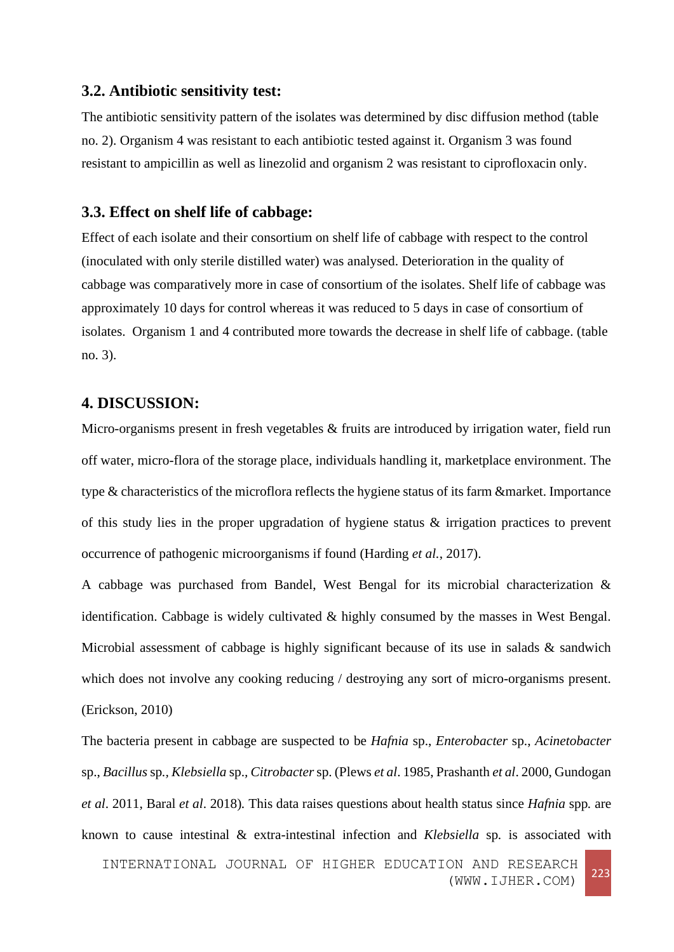#### **3.2. Antibiotic sensitivity test:**

The antibiotic sensitivity pattern of the isolates was determined by disc diffusion method (table no. 2). Organism 4 was resistant to each antibiotic tested against it. Organism 3 was found resistant to ampicillin as well as linezolid and organism 2 was resistant to ciprofloxacin only.

#### **3.3. Effect on shelf life of cabbage:**

Effect of each isolate and their consortium on shelf life of cabbage with respect to the control (inoculated with only sterile distilled water) was analysed. Deterioration in the quality of cabbage was comparatively more in case of consortium of the isolates. Shelf life of cabbage was approximately 10 days for control whereas it was reduced to 5 days in case of consortium of isolates. Organism 1 and 4 contributed more towards the decrease in shelf life of cabbage. (table no. 3).

# **4. DISCUSSION:**

Micro-organisms present in fresh vegetables & fruits are introduced by irrigation water, field run off water, micro-flora of the storage place, individuals handling it, marketplace environment. The type & characteristics of the microflora reflects the hygiene status of its farm &market. Importance of this study lies in the proper upgradation of hygiene status & irrigation practices to prevent occurrence of pathogenic microorganisms if found [\(Harding](http://ascidatabase.com/author.php?author=M.W.&last=Harding) *et al.*, 2017).

A cabbage was purchased from Bandel, West Bengal for its microbial characterization & identification. Cabbage is widely cultivated & highly consumed by the masses in West Bengal. Microbial assessment of cabbage is highly significant because of its use in salads & sandwich which does not involve any cooking reducing / destroying any sort of micro-organisms present. (Erickson, 2010)

The bacteria present in cabbage are suspected to be *Hafnia* sp., *Enterobacter* sp., *Acinetobacter*  sp., *Bacillus* sp*., Klebsiella* sp.*, Citrobacter* sp. (Plews *et al*. 1985, Prashanth *et al*. 2000, Gundogan *et al*. 2011, Baral *et al*. 2018)*.* This data raises questions about health status since *Hafnia* spp*.* are known to cause intestinal & extra-intestinal infection and *Klebsiella* sp*.* is associated with

INTERNATIONAL JOURNAL OF HIGHER EDUCATION AND RESEARCH (WWW.IJHER.COM) <sup>223</sup>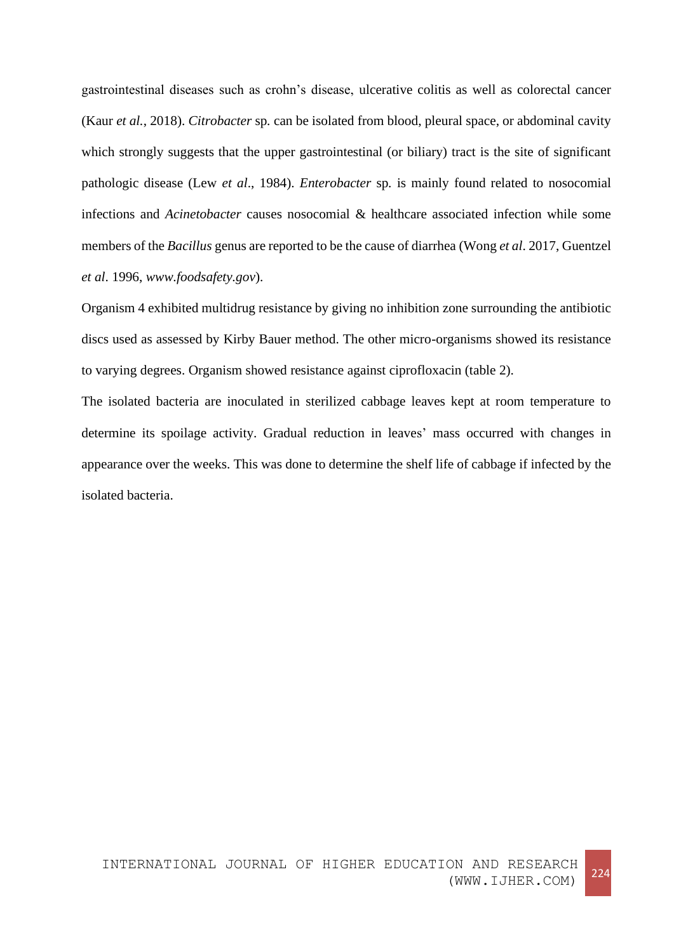gastrointestinal diseases such as crohn's disease, ulcerative colitis as well as colorectal cancer (Kaur *et al.*, 2018). *Citrobacter* sp*.* can be isolated from blood, pleural space, or abdominal cavity which strongly suggests that the upper gastrointestinal (or biliary) tract is the site of significant pathologic disease (Lew *et al*., 1984). *Enterobacter* sp*.* is mainly found related to nosocomial infections and *Acinetobacter* causes nosocomial & healthcare associated infection while some members of the *Bacillus* genus are reported to be the cause of diarrhea (Wong *et al*. 2017, Guentzel *et al*. 1996, *www.foodsafety.gov*).

Organism 4 exhibited multidrug resistance by giving no inhibition zone surrounding the antibiotic discs used as assessed by Kirby Bauer method. The other micro-organisms showed its resistance to varying degrees. Organism showed resistance against ciprofloxacin (table 2).

The isolated bacteria are inoculated in sterilized cabbage leaves kept at room temperature to determine its spoilage activity. Gradual reduction in leaves' mass occurred with changes in appearance over the weeks. This was done to determine the shelf life of cabbage if infected by the isolated bacteria.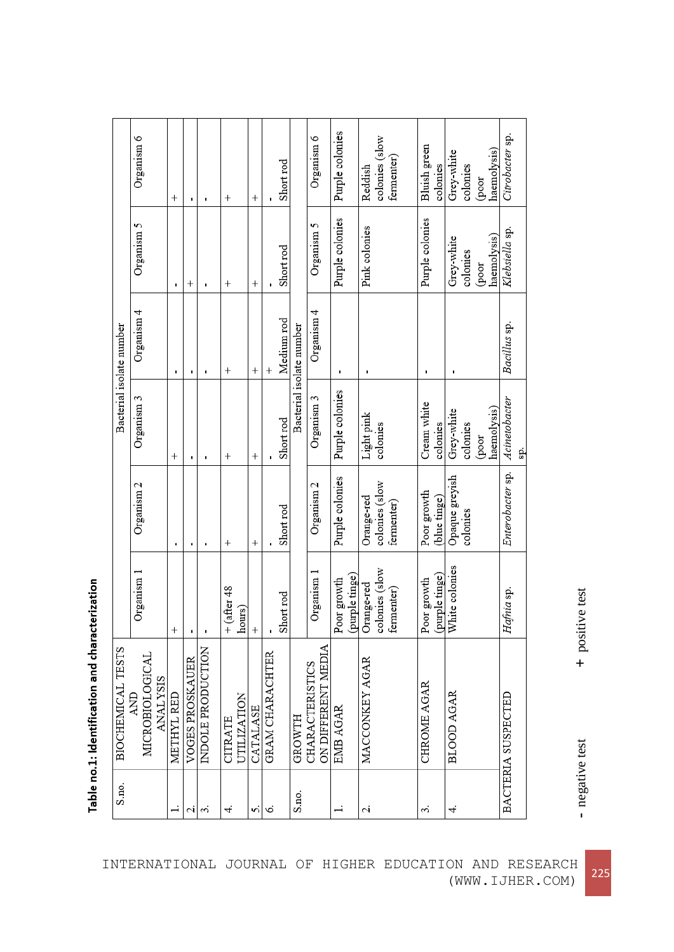Table no.1: Identification and characterization

**+** positive test

- negative test negative test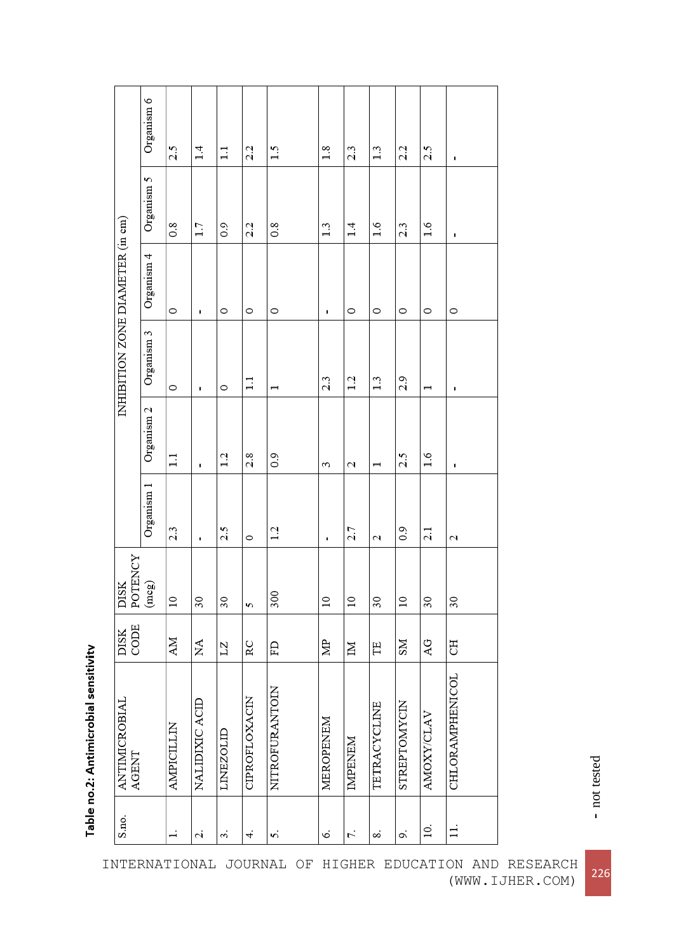| INHIBITION ZONE DIAMETER (in cm) | Organism 6                | 2.5               | 1.4            | $\overline{1}$    | 2.2            | 1.5             | 1.8             | 2.3             | $\frac{3}{2}$ | 2.2               | 2.5                        | ı                      |
|----------------------------------|---------------------------|-------------------|----------------|-------------------|----------------|-----------------|-----------------|-----------------|---------------|-------------------|----------------------------|------------------------|
|                                  | Organism 5                | $\overline{0.8}$  | 1.7            | $\overline{0}$ .0 | 2.2            | $\frac{8}{2}$   | 1.3             | 1.4             | 1.6           | 2.3               | 1.6                        | ٠                      |
|                                  | Organism 4                | $\circ$           | ٠              | 0                 | $\circ$        | $\circ$         | ı               | $\circ$         | $\circ$       | $\circ$           | $\circ$                    | $\circ$                |
|                                  | Organism 3                | $\circ$           | ı              | 0                 | $\Box$         | I               | 2.3             | 1.2             | 1.3           | 2.9               |                            | ٠                      |
|                                  | Organism <sub>2</sub>     | $\Box$            | ٠              | 1.2               | 2.8            | $\frac{0.9}{0}$ | ξ               | 2               |               | 2.5               | 1.6                        | ı                      |
|                                  | Organism 1                | 2.3               | ٠              | 2.5               | $\circ$        | 1.2             | ı               | 2.7             | 2             | $\overline{0}$ .0 | 2.1                        | 2                      |
| DISK<br>POTENCY                  | $\left(\text{mcg}\right)$ | $\overline{10}$   | 30             | 30                | S              | 300             | $\overline{10}$ | $\overline{10}$ | 30            | $\overline{10}$   | 30                         | 30                     |
| CODE<br>DISK                     |                           | AM                | ΧÁ             | LZ                | RC             | ED              | ğ               | Σ               | Ë             | <b>NS</b>         | $\overline{A}\overline{G}$ | F                      |
| <b>ANTIMICROBIAL</b><br>AGENT    |                           | <b>AMPICILLIN</b> | NALIDIXIC ACID | LINEZOLID         | CIPROFLOXACIN  | NITROFURANTOIN  | MEROPENEM       | <b>IMPENEM</b>  | TETRACYCLINE  | STREPTOMYCIN      | AMOXY/CLAV                 | <b>CHLORAMPHENICOL</b> |
| S.no.                            |                           | $\overline{a}$    | 2.             | 3.                | $\overline{+}$ | 5.              | Ó.              | 7.              | ∞             | o,                | 10.                        | $\exists$              |

Table no.2: Antimicrobial sensitivity

INTERNATIONAL JOURNAL OF HIGHER EDUCATION AND RESEARCH (WWW.IJHER.COM) <sup>226</sup>

**-** not tested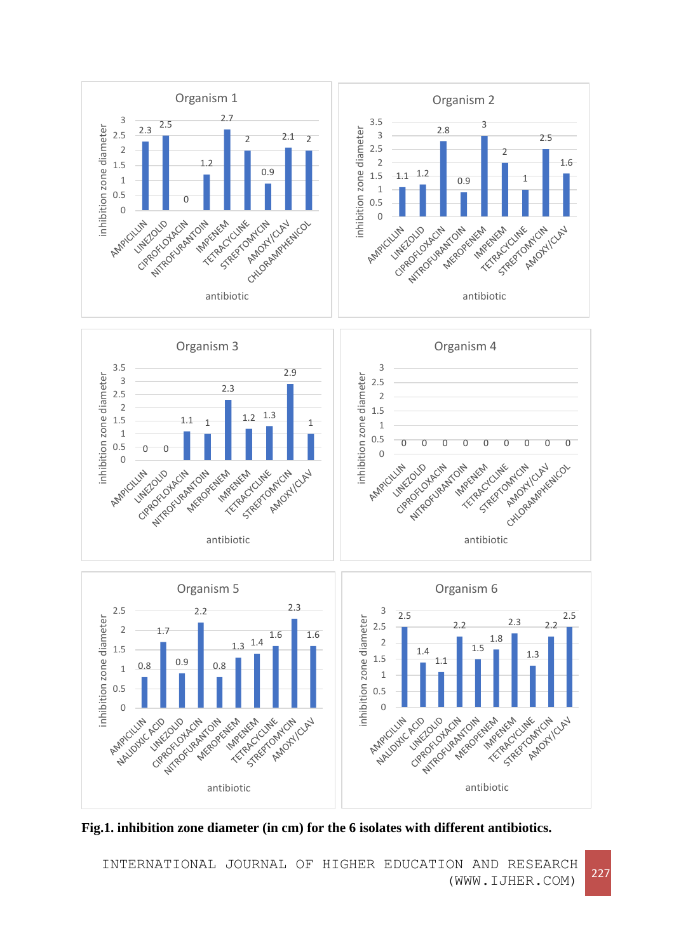

**Fig.1. inhibition zone diameter (in cm) for the 6 isolates with different antibiotics.**

INTERNATIONAL JOURNAL OF HIGHER EDUCATION AND RESEARCH (WWW.IJHER.COM) <sup>227</sup>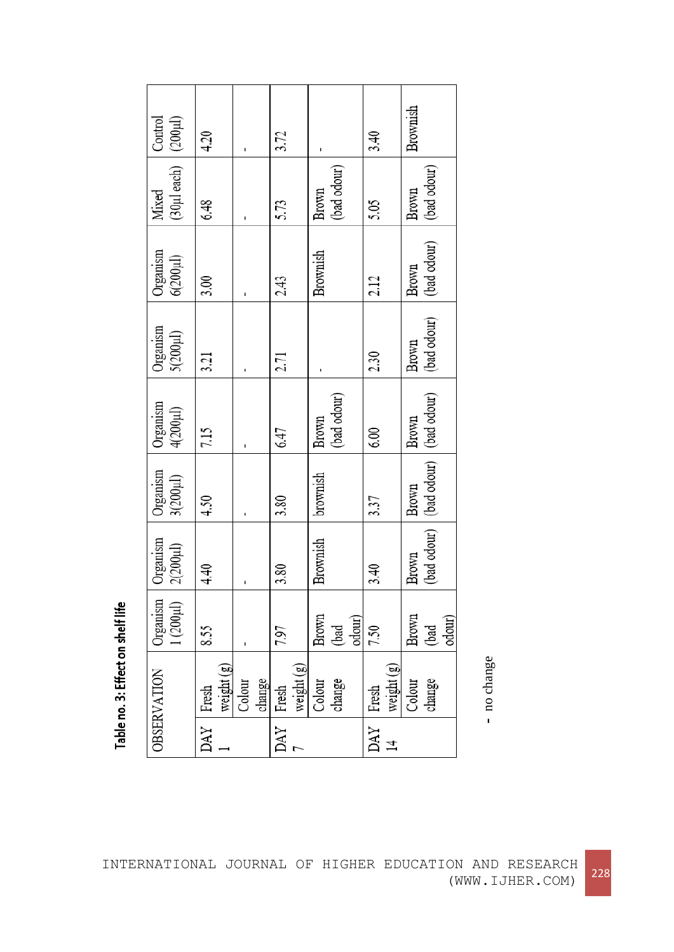| (200µl)<br>Control            | 4.20                |                  | 3.72                |                         | 3.40                | Brownish                                       |
|-------------------------------|---------------------|------------------|---------------------|-------------------------|---------------------|------------------------------------------------|
| (30µl each)<br>Mixed          | 6.48                |                  | 5.73                | (bad odour)<br>Brown    | 5.05                | (bad odour)<br>Brown                           |
| Organism<br>$6(200 \mu l)$    | 3.00                |                  | 2.43                | Brownish                | 2.12                | (bad odour)<br>Brown                           |
| Organism<br>$5(200 \mu l)$    | 3.21                |                  | 2.71                |                         | 2.30                | (bad odour)<br>Brown                           |
| Organism<br>$4(200 \mu l)$    | 7.15                |                  | 6.47                | (bad odour)<br>Brown    | 6.00                | Brown                                          |
| Organism<br>$3(200 \mu l)$    | 4.50                |                  | 3.80                | brownish                | 3.37                | (bad odour) [(bad odour) [(bad odour)<br>Brown |
| Organism<br>$2(200\mu\rm{I})$ | 4.40                |                  | 3.80                | Brownish                | 3.40                | Brown                                          |
| Organism<br>$1(200 \mu l)$    | 8.55                |                  | 7.97                | Brown<br>odour)<br>(bad | 7.50                | Brown<br>odour)<br>(bad                        |
| OBSERVATION                   | weight (g)<br>Fresh | change<br>Colour | weight (g)<br>Fresh | change<br>Colour        | weight (g)<br>Fresh | Colour<br>change                               |
|                               | DAY                 |                  | DAY                 |                         | DAY<br>그            |                                                |

Table no. 3: Effect on shelf life

**-** no change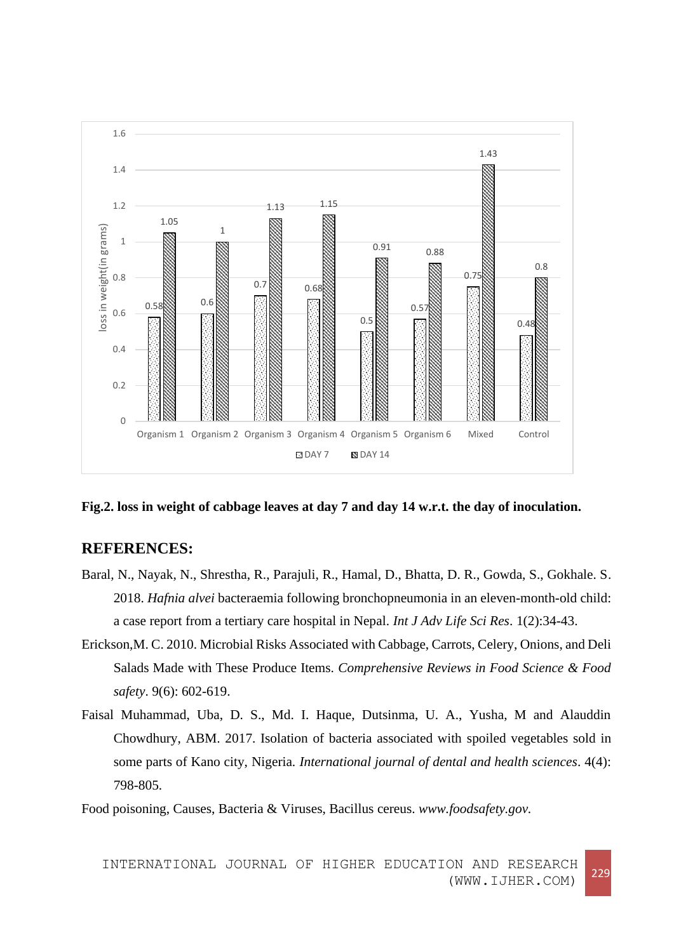

**Fig.2. loss in weight of cabbage leaves at day 7 and day 14 w.r.t. the day of inoculation.**

# **REFERENCES:**

- Baral, N., Nayak, N., Shrestha, R., Parajuli, R., Hamal, D., Bhatta, D. R., Gowda, S., Gokhale. S. 2018. *Hafnia alvei* bacteraemia following bronchopneumonia in an eleven-month-old child: a case report from a tertiary care hospital in Nepal. *Int J Adv Life Sci Res*. 1(2):34-43.
- Erickson,M. C. 2010. Microbial Risks Associated with Cabbage, Carrots, Celery, Onions, and Deli Salads Made with These Produce Items. *Comprehensive Reviews in Food Science & Food safety*. 9(6): 602-619.
- Faisal Muhammad, Uba, D. S., Md. I. Haque, Dutsinma, U. A., Yusha, M and Alauddin Chowdhury, ABM. 2017. Isolation of bacteria associated with spoiled vegetables sold in some parts of Kano city, Nigeria. *International journal of dental and health sciences*. 4(4): 798-805.

Food poisoning, Causes, Bacteria & Viruses, Bacillus cereus. *www.foodsafety.gov.*